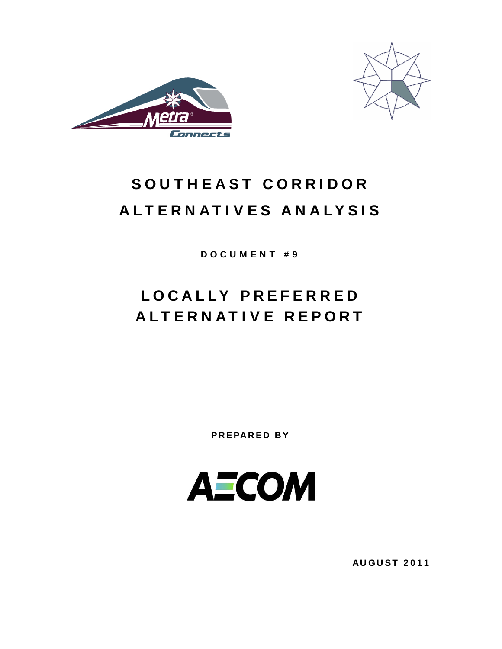



# SOUTHEAST CORRIDOR ALTERNATIVES ANALYSIS

DOCUMENT #9

# LOCALLY PREFERRED ALTERNATIVE REPORT

PREPARED BY



AUGUST 2011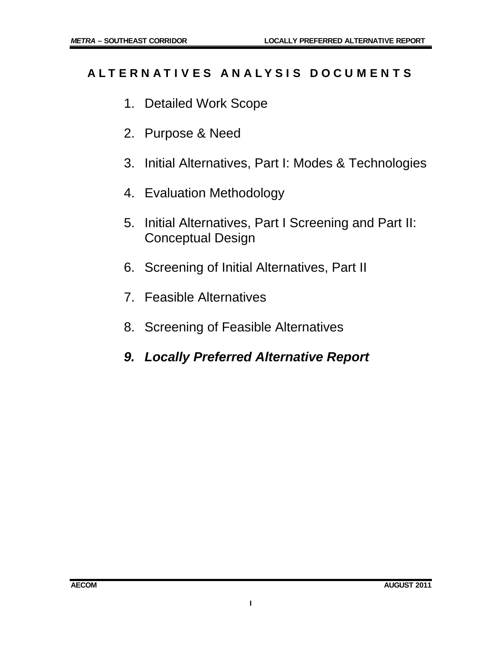# ALTERNATIVES ANALYSIS DOCUMENTS

- 1. Detailed Work Scope
- 2. Purpose & Need
- 3. Initial Alternatives, Part I: Modes & Technologies
- 4. Evaluation Methodology
- 5. Initial Alternatives, Part I Screening and Part II: Conceptual Design
- 6. Screening of Initial Alternatives, Part II
- 7. Feasible Alternatives
- 8. Screening of Feasible Alternatives
- *9. Locally Preferred Alternative Report*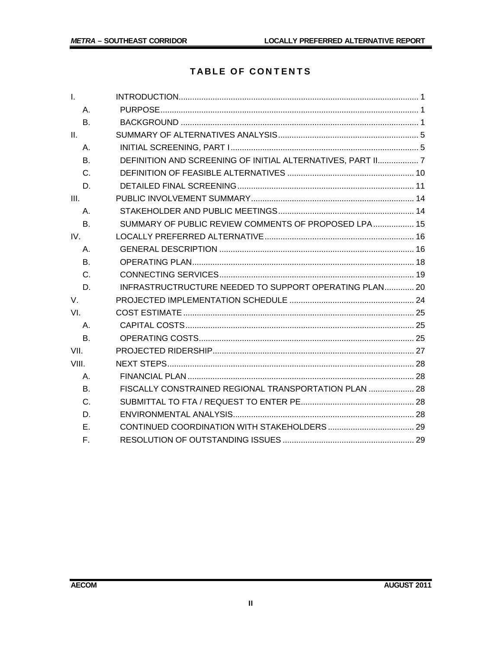# **TABLE OF CONTENTS**

| $\mathbf{L}$   |                                                             |
|----------------|-------------------------------------------------------------|
| Α.             |                                                             |
| B.             |                                                             |
| II.            |                                                             |
| $A_{1}$        |                                                             |
| <b>B.</b>      | DEFINITION AND SCREENING OF INITIAL ALTERNATIVES, PART II 7 |
| C.             |                                                             |
| D.             |                                                             |
| III.           |                                                             |
| Α.             |                                                             |
| <b>B.</b>      | SUMMARY OF PUBLIC REVIEW COMMENTS OF PROPOSED LPA 15        |
| IV.            |                                                             |
| Α.             |                                                             |
| B <sub>1</sub> |                                                             |
| C.             |                                                             |
| D.             | INFRASTRUCTRUCTURE NEEDED TO SUPPORT OPERATING PLAN 20      |
| V.             |                                                             |
| VI.            |                                                             |
| Α.             |                                                             |
| <b>B.</b>      |                                                             |
| VII.           |                                                             |
| VIII.          |                                                             |
| Α.             |                                                             |
| B <sub>1</sub> | FISCALLY CONSTRAINED REGIONAL TRANSPORTATION PLAN  28       |
| $C_{\cdot}$    |                                                             |
| D.             |                                                             |
| F.             |                                                             |
| F.             |                                                             |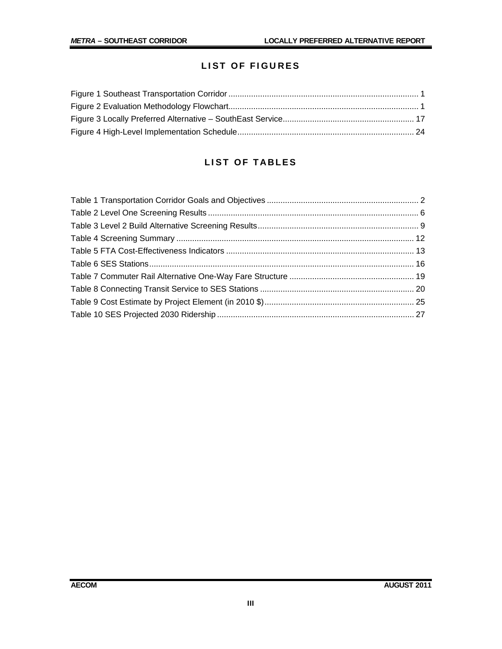# LIST OF FIGURES

# LIST OF TABLES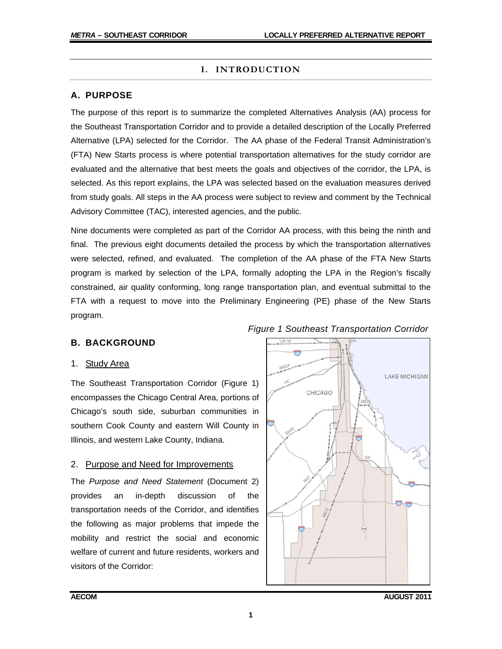## **I. INTRODUCTION**

# **A. PURPOSE**

The purpose of this report is to summarize the completed Alternatives Analysis (AA) process for the Southeast Transportation Corridor and to provide a detailed description of the Locally Preferred Alternative (LPA) selected for the Corridor. The AA phase of the Federal Transit Administration's (FTA) New Starts process is where potential transportation alternatives for the study corridor are evaluated and the alternative that best meets the goals and objectives of the corridor, the LPA, is selected. As this report explains, the LPA was selected based on the evaluation measures derived from study goals. All steps in the AA process were subject to review and comment by the Technical Advisory Committee (TAC), interested agencies, and the public.

Nine documents were completed as part of the Corridor AA process, with this being the ninth and final. The previous eight documents detailed the process by which the transportation alternatives were selected, refined, and evaluated. The completion of the AA phase of the FTA New Starts program is marked by selection of the LPA, formally adopting the LPA in the Region's fiscally constrained, air quality conforming, long range transportation plan, and eventual submittal to the FTA with a request to move into the Preliminary Engineering (PE) phase of the New Starts program.

# **B. BACKGROUND**

#### 1. Study Area

The Southeast Transportation Corridor (Figure 1) encompasses the Chicago Central Area, portions of Chicago's south side, suburban communities in southern Cook County and eastern Will County in Illinois, and western Lake County, Indiana.

#### 2. Purpose and Need for Improvements

The *Purpose and Need Statement* (Document 2) provides an in-depth discussion of transportation needs of the Corridor, and identifies the following as major problems that impede the mobility and restrict the social and economic welfare of current and future residents, workers and visitors of the Corridor:



# *Figure 1 Southeast Transportation Corridor*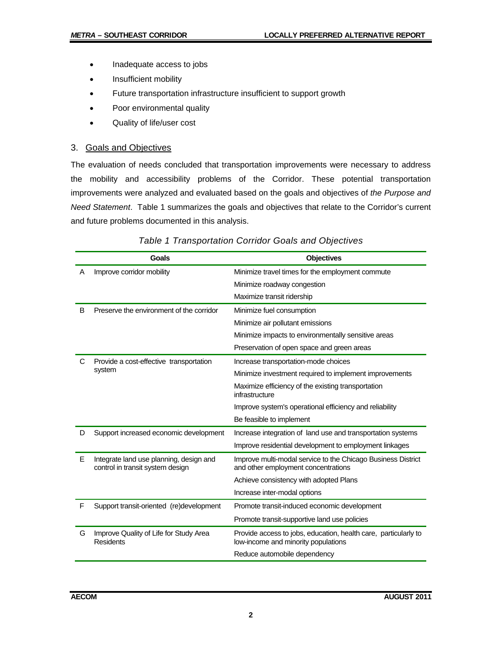- Inadequate access to jobs
- Insufficient mobility
- **•** Future transportation infrastructure insufficient to support growth
- Poor environmental quality
- Quality of life/user cost

#### 3. Goals and Objectives

The evaluation of needs concluded that transportation improvements were necessary to address the mobility and accessibility problems of the Corridor. These potential transportation improvements were analyzed and evaluated based on the goals and objectives of *the Purpose and Need Statement*. Table 1 summarizes the goals and objectives that relate to the Corridor's current and future problems documented in this analysis.

|   | <b>Goals</b>                                                                | <b>Objectives</b>                                                                                      |
|---|-----------------------------------------------------------------------------|--------------------------------------------------------------------------------------------------------|
| A | Improve corridor mobility                                                   | Minimize travel times for the employment commute                                                       |
|   |                                                                             | Minimize roadway congestion                                                                            |
|   |                                                                             | Maximize transit ridership                                                                             |
| B | Preserve the environment of the corridor                                    | Minimize fuel consumption                                                                              |
|   |                                                                             | Minimize air pollutant emissions                                                                       |
|   |                                                                             | Minimize impacts to environmentally sensitive areas                                                    |
|   |                                                                             | Preservation of open space and green areas                                                             |
| C | Provide a cost-effective transportation                                     | Increase transportation-mode choices                                                                   |
|   | system                                                                      | Minimize investment required to implement improvements                                                 |
|   |                                                                             | Maximize efficiency of the existing transportation<br>infrastructure                                   |
|   |                                                                             | Improve system's operational efficiency and reliability                                                |
|   |                                                                             | Be feasible to implement                                                                               |
| D | Support increased economic development                                      | Increase integration of land use and transportation systems                                            |
|   |                                                                             | Improve residential development to employment linkages                                                 |
| E | Integrate land use planning, design and<br>control in transit system design | Improve multi-modal service to the Chicago Business District<br>and other employment concentrations    |
|   |                                                                             | Achieve consistency with adopted Plans                                                                 |
|   |                                                                             | Increase inter-modal options                                                                           |
| F | Support transit-oriented (re)development                                    | Promote transit-induced economic development                                                           |
|   |                                                                             | Promote transit-supportive land use policies                                                           |
| G | Improve Quality of Life for Study Area<br><b>Residents</b>                  | Provide access to jobs, education, health care, particularly to<br>low-income and minority populations |
|   |                                                                             | Reduce automobile dependency                                                                           |

*Table 1 Transportation Corridor Goals and Objectives*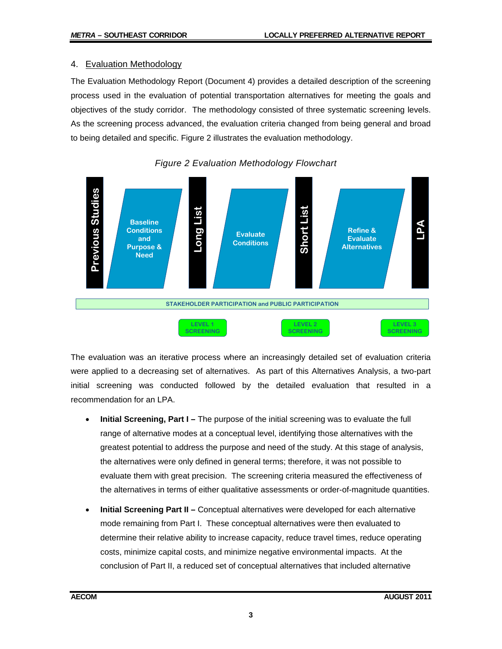#### 4. Evaluation Methodology

The Evaluation Methodology Report (Document 4) provides a detailed description of the screening process used in the evaluation of potential transportation alternatives for meeting the goals and objectives of the study corridor. The methodology consisted of three systematic screening levels. As the screening process advanced, the evaluation criteria changed from being general and broad to being detailed and specific. Figure 2 illustrates the evaluation methodology.





The evaluation was an iterative process where an increasingly detailed set of evaluation criteria were applied to a decreasing set of alternatives. As part of this Alternatives Analysis, a two-part initial screening was conducted followed by the detailed evaluation that resulted in a recommendation for an LPA.

- **Initial Screening, Part I** The purpose of the initial screening was to evaluate the full range of alternative modes at a conceptual level, identifying those alternatives with the greatest potential to address the purpose and need of the study. At this stage of analysis, the alternatives were only defined in general terms; therefore, it was not possible to evaluate them with great precision. The screening criteria measured the effectiveness of the alternatives in terms of either qualitative assessments or order-of-magnitude quantities.
- **Initial Screening Part II** Conceptual alternatives were developed for each alternative mode remaining from Part I. These conceptual alternatives were then evaluated to determine their relative ability to increase capacity, reduce travel times, reduce operating costs, minimize capital costs, and minimize negative environmental impacts. At the conclusion of Part II, a reduced set of conceptual alternatives that included alternative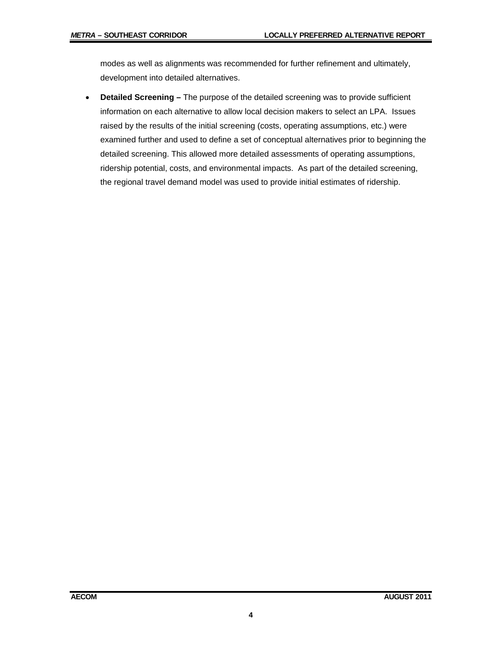modes as well as alignments was recommended for further refinement and ultimately, development into detailed alternatives.

 **Detailed Screening –** The purpose of the detailed screening was to provide sufficient information on each alternative to allow local decision makers to select an LPA. Issues raised by the results of the initial screening (costs, operating assumptions, etc.) were examined further and used to define a set of conceptual alternatives prior to beginning the detailed screening. This allowed more detailed assessments of operating assumptions, ridership potential, costs, and environmental impacts. As part of the detailed screening, the regional travel demand model was used to provide initial estimates of ridership.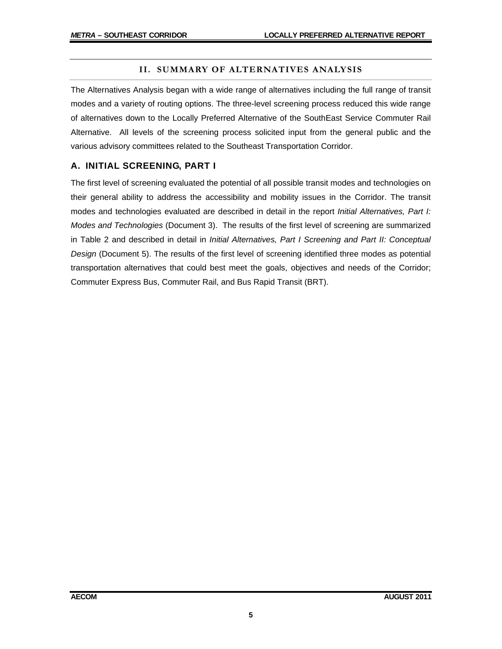#### **II. SUMMARY OF ALTERNATIVES ANALYSIS**

The Alternatives Analysis began with a wide range of alternatives including the full range of transit modes and a variety of routing options. The three-level screening process reduced this wide range of alternatives down to the Locally Preferred Alternative of the SouthEast Service Commuter Rail Alternative. All levels of the screening process solicited input from the general public and the various advisory committees related to the Southeast Transportation Corridor.

#### **A. INITIAL SCREENING, PART I**

The first level of screening evaluated the potential of all possible transit modes and technologies on their general ability to address the accessibility and mobility issues in the Corridor. The transit modes and technologies evaluated are described in detail in the report *Initial Alternatives, Part I: Modes and Technologies* (Document 3). The results of the first level of screening are summarized in Table 2 and described in detail in *Initial Alternatives, Part I Screening and Part II: Conceptual Design* (Document 5). The results of the first level of screening identified three modes as potential transportation alternatives that could best meet the goals, objectives and needs of the Corridor; Commuter Express Bus, Commuter Rail, and Bus Rapid Transit (BRT).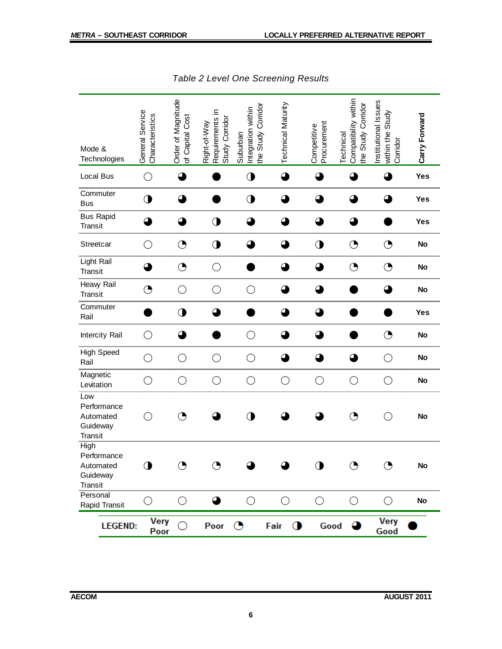| Mode &<br>Technologies                                         | General Service<br>Characteristics          | Order of Magnitude<br>of Capital Cos | Requirements in<br>Study Corridor<br>Right-of-Way | the Study Corridor<br>Integration within<br>Suburban | <b>Technical Maturity</b> | Procurement<br>Competitive | Compatibility within<br>the Study Corridor<br>Technical | Institutional Issues<br>Study<br>within the<br>Corridor | Carry Forward |
|----------------------------------------------------------------|---------------------------------------------|--------------------------------------|---------------------------------------------------|------------------------------------------------------|---------------------------|----------------------------|---------------------------------------------------------|---------------------------------------------------------|---------------|
| Local Bus                                                      | $\bigcirc$                                  | ◕                                    |                                                   | $\mathbf 0$                                          | ◕                         | 4                          |                                                         | 4                                                       | Yes           |
| Commuter<br><b>Bus</b>                                         | $\bigcirc$                                  | ▲                                    |                                                   | $\mathbf 0$                                          | $\mathbf \Omega$          | ▲                          | Q                                                       | ▲                                                       | Yes           |
| <b>Bus Rapid</b><br>Transit                                    | ◕                                           | ◕                                    | $\mathbf 0$                                       | ◕                                                    | △                         | ◕                          | 4                                                       |                                                         | Yes           |
| Streetcar                                                      | $\bigcirc$                                  | $\bigodot$                           | $\mathbf 0$                                       | △                                                    | ◠                         | $\mathbf 0$                | $\bigodot$                                              | ◔                                                       | <b>No</b>     |
| Light Rail<br>Transit                                          | ≃                                           | $\bigodot$                           | O                                                 |                                                      |                           | △                          | $\bigodot$                                              | ◔                                                       | <b>No</b>     |
| Heavy Rail<br>Transit                                          | ◔                                           | O                                    | O                                                 | O                                                    |                           | 4                          |                                                         | 4                                                       | <b>No</b>     |
| Commuter<br>Rail                                               |                                             | $\mathbf 0$                          | ▲                                                 |                                                      | $\mathbf \Omega$          | $\bullet$                  |                                                         |                                                         | Yes           |
| <b>Intercity Rail</b>                                          | $\bigcirc$                                  | ◕                                    |                                                   | ◯                                                    | 4                         | ◕                          |                                                         | ◔                                                       | <b>No</b>     |
| <b>High Speed</b><br>Rail                                      | O                                           | $\left(\right)$                      | ◯                                                 | $\left(\begin{array}{c} 1 \end{array}\right)$        |                           |                            |                                                         | $\bigcirc$                                              | <b>No</b>     |
| Magnetic<br>Levitation                                         | O                                           | O                                    | C                                                 | $\bigcirc$                                           | $\bigcirc$                | $\bigcirc$                 | O                                                       | $\bigcirc$                                              | <b>No</b>     |
| Low<br>Performance<br>Automated<br>Guideway<br>Transit         | $\left(\begin{array}{c} \end{array}\right)$ | ◑                                    |                                                   | ◑                                                    |                           |                            | ◔                                                       | O                                                       | <b>No</b>     |
| <b>High</b><br>Performance<br>Automated<br>Guideway<br>Transit | $\mathbf 0$                                 | ◑                                    |                                                   |                                                      |                           | ◑                          | ◑                                                       | ◔                                                       | No            |
| Personal<br>Rapid Transit                                      | О                                           | $\bigcirc$                           | $\bullet$                                         | $\bigcirc$                                           | $\bigcirc$                | $\bigcirc$                 | $\bigcirc$                                              | $\bigcirc$                                              | <b>No</b>     |
| <b>LEGEND:</b>                                                 | <b>Very</b><br>Poor                         |                                      | Poor                                              | ◔                                                    | $\bullet$<br>Fair         | Good                       |                                                         | Very<br>Good                                            |               |

*Table 2 Level One Screening Results*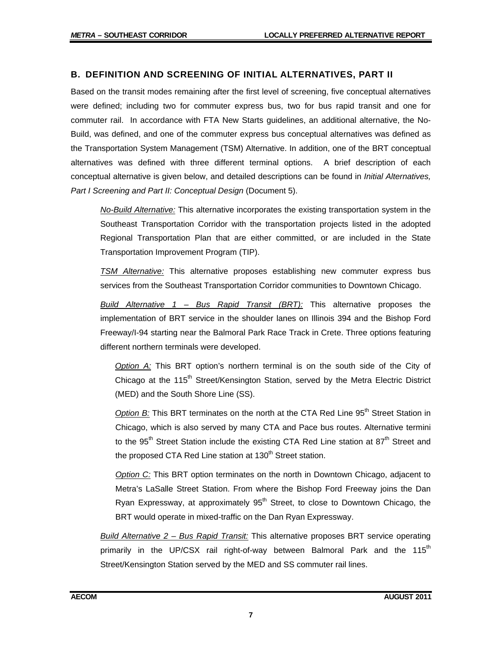#### **B. DEFINITION AND SCREENING OF INITIAL ALTERNATIVES, PART II**

Based on the transit modes remaining after the first level of screening, five conceptual alternatives were defined; including two for commuter express bus, two for bus rapid transit and one for commuter rail. In accordance with FTA New Starts guidelines, an additional alternative, the No-Build, was defined, and one of the commuter express bus conceptual alternatives was defined as the Transportation System Management (TSM) Alternative. In addition, one of the BRT conceptual alternatives was defined with three different terminal options. A brief description of each conceptual alternative is given below, and detailed descriptions can be found in *Initial Alternatives, Part I Screening and Part II: Conceptual Design* (Document 5).

*No-Build Alternative:* This alternative incorporates the existing transportation system in the Southeast Transportation Corridor with the transportation projects listed in the adopted Regional Transportation Plan that are either committed, or are included in the State Transportation Improvement Program (TIP).

*TSM Alternative:* This alternative proposes establishing new commuter express bus services from the Southeast Transportation Corridor communities to Downtown Chicago.

*Build Alternative 1 – Bus Rapid Transit (BRT):* This alternative proposes the implementation of BRT service in the shoulder lanes on Illinois 394 and the Bishop Ford Freeway/I-94 starting near the Balmoral Park Race Track in Crete. Three options featuring different northern terminals were developed.

*Option A:* This BRT option's northern terminal is on the south side of the City of Chicago at the 115<sup>th</sup> Street/Kensington Station, served by the Metra Electric District (MED) and the South Shore Line (SS).

**Option B:** This BRT terminates on the north at the CTA Red Line 95<sup>th</sup> Street Station in Chicago, which is also served by many CTA and Pace bus routes. Alternative termini to the 95<sup>th</sup> Street Station include the existing CTA Red Line station at  $87<sup>th</sup>$  Street and the proposed CTA Red Line station at 130<sup>th</sup> Street station.

*Option C:* This BRT option terminates on the north in Downtown Chicago, adjacent to Metra's LaSalle Street Station. From where the Bishop Ford Freeway joins the Dan Ryan Expressway, at approximately  $95<sup>th</sup>$  Street, to close to Downtown Chicago, the BRT would operate in mixed-traffic on the Dan Ryan Expressway.

*Build Alternative 2 – Bus Rapid Transit:* This alternative proposes BRT service operating primarily in the UP/CSX rail right-of-way between Balmoral Park and the 115<sup>th</sup> Street/Kensington Station served by the MED and SS commuter rail lines.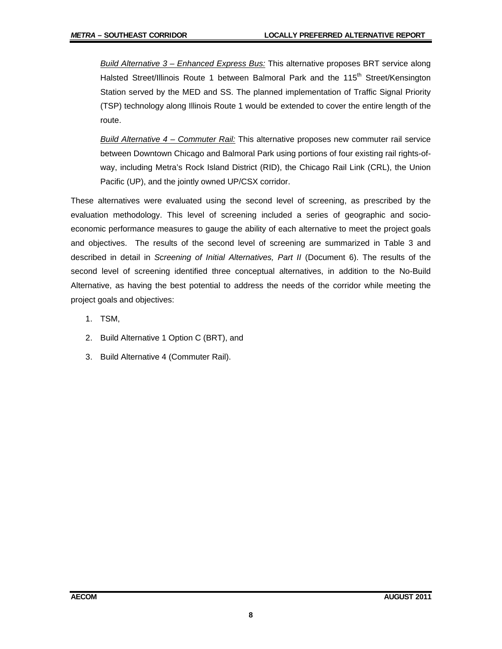*Build Alternative 3 – Enhanced Express Bus:* This alternative proposes BRT service along Halsted Street/Illinois Route 1 between Balmoral Park and the 115<sup>th</sup> Street/Kensington Station served by the MED and SS. The planned implementation of Traffic Signal Priority (TSP) technology along Illinois Route 1 would be extended to cover the entire length of the route.

*Build Alternative 4 – Commuter Rail:* This alternative proposes new commuter rail service between Downtown Chicago and Balmoral Park using portions of four existing rail rights-ofway, including Metra's Rock Island District (RID), the Chicago Rail Link (CRL), the Union Pacific (UP), and the jointly owned UP/CSX corridor.

These alternatives were evaluated using the second level of screening, as prescribed by the evaluation methodology. This level of screening included a series of geographic and socioeconomic performance measures to gauge the ability of each alternative to meet the project goals and objectives. The results of the second level of screening are summarized in Table 3 and described in detail in *Screening of Initial Alternatives, Part II* (Document 6). The results of the second level of screening identified three conceptual alternatives, in addition to the No-Build Alternative, as having the best potential to address the needs of the corridor while meeting the project goals and objectives:

- 1. TSM,
- 2. Build Alternative 1 Option C (BRT), and
- 3. Build Alternative 4 (Commuter Rail).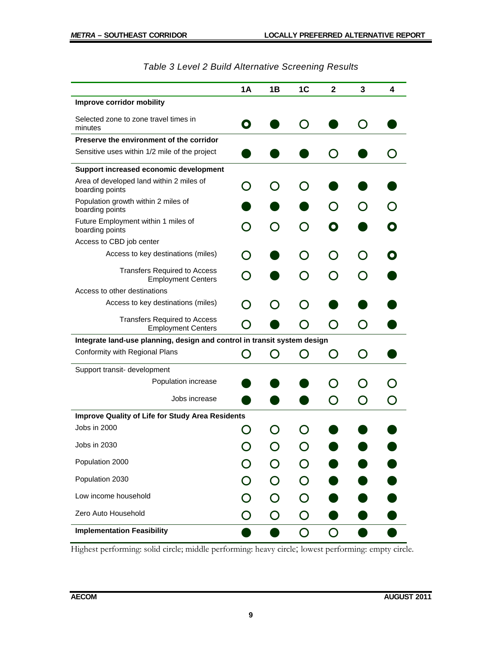|                                                                          | 1A           | 1B | 1C | 2              | 3 | 4 |
|--------------------------------------------------------------------------|--------------|----|----|----------------|---|---|
| Improve corridor mobility                                                |              |    |    |                |   |   |
| Selected zone to zone travel times in<br>minutes                         | O            |    |    |                |   |   |
| Preserve the environment of the corridor                                 |              |    |    |                |   |   |
| Sensitive uses within 1/2 mile of the project                            |              |    |    |                |   |   |
| Support increased economic development                                   |              |    |    |                |   |   |
| Area of developed land within 2 miles of<br>boarding points              |              |    |    |                |   |   |
| Population growth within 2 miles of<br>boarding points                   |              |    |    |                |   |   |
| Future Employment within 1 miles of<br>boarding points                   |              |    |    |                |   |   |
| Access to CBD job center                                                 |              |    |    |                |   |   |
| Access to key destinations (miles)                                       |              |    |    |                |   |   |
| <b>Transfers Required to Access</b><br><b>Employment Centers</b>         |              |    |    |                |   |   |
| Access to other destinations                                             |              |    |    |                |   |   |
| Access to key destinations (miles)                                       |              |    |    |                |   |   |
| <b>Transfers Required to Access</b><br><b>Employment Centers</b>         |              |    |    | Э              |   |   |
| Integrate land-use planning, design and control in transit system design |              |    |    |                |   |   |
| Conformity with Regional Plans                                           |              |    |    | $\blacksquare$ |   |   |
| Support transit- development                                             |              |    |    |                |   |   |
| Population increase                                                      |              |    |    |                |   |   |
| Jobs increase                                                            |              |    |    |                |   |   |
| <b>Improve Quality of Life for Study Area Residents</b>                  |              |    |    |                |   |   |
| Jobs in 2000                                                             |              |    |    |                |   |   |
| Jobs in 2030                                                             |              |    |    |                |   |   |
| Population 2000                                                          |              |    |    |                |   |   |
| Population 2030                                                          |              |    |    |                |   |   |
| Low income household                                                     |              | O  |    |                |   |   |
| Zero Auto Household                                                      | $\mathbf{C}$ | O  | O  |                |   |   |
| <b>Implementation Feasibility</b>                                        |              |    | O  | O              |   |   |

|  |  | Table 3 Level 2 Build Alternative Screening Results |
|--|--|-----------------------------------------------------|
|--|--|-----------------------------------------------------|

Highest performing: solid circle; middle performing: heavy circle; lowest performing: empty circle.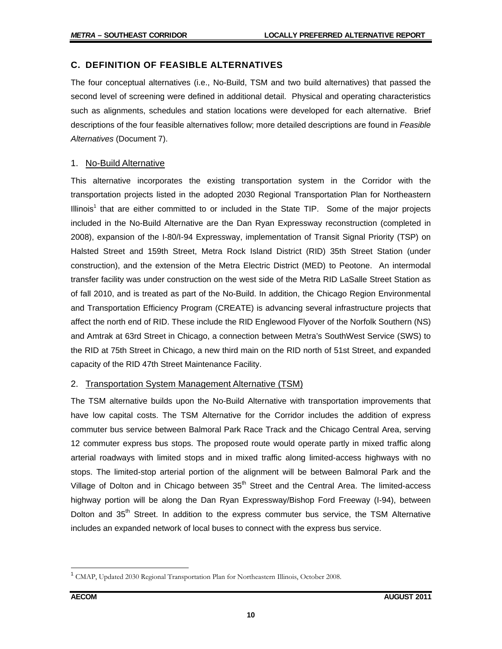#### **C. DEFINITION OF FEASIBLE ALTERNATIVES**

The four conceptual alternatives (i.e., No-Build, TSM and two build alternatives) that passed the second level of screening were defined in additional detail. Physical and operating characteristics such as alignments, schedules and station locations were developed for each alternative. Brief descriptions of the four feasible alternatives follow; more detailed descriptions are found in *Feasible Alternatives* (Document 7).

#### 1. No-Build Alternative

This alternative incorporates the existing transportation system in the Corridor with the transportation projects listed in the adopted 2030 Regional Transportation Plan for Northeastern Illinois<sup>1</sup> that are either committed to or included in the State TIP. Some of the major projects included in the No-Build Alternative are the Dan Ryan Expressway reconstruction (completed in 2008), expansion of the I-80/I-94 Expressway, implementation of Transit Signal Priority (TSP) on Halsted Street and 159th Street, Metra Rock Island District (RID) 35th Street Station (under construction), and the extension of the Metra Electric District (MED) to Peotone. An intermodal transfer facility was under construction on the west side of the Metra RID LaSalle Street Station as of fall 2010, and is treated as part of the No-Build. In addition, the Chicago Region Environmental and Transportation Efficiency Program (CREATE) is advancing several infrastructure projects that affect the north end of RID. These include the RID Englewood Flyover of the Norfolk Southern (NS) and Amtrak at 63rd Street in Chicago, a connection between Metra's SouthWest Service (SWS) to the RID at 75th Street in Chicago, a new third main on the RID north of 51st Street, and expanded capacity of the RID 47th Street Maintenance Facility.

#### 2. Transportation System Management Alternative (TSM)

The TSM alternative builds upon the No-Build Alternative with transportation improvements that have low capital costs. The TSM Alternative for the Corridor includes the addition of express commuter bus service between Balmoral Park Race Track and the Chicago Central Area, serving 12 commuter express bus stops. The proposed route would operate partly in mixed traffic along arterial roadways with limited stops and in mixed traffic along limited-access highways with no stops. The limited-stop arterial portion of the alignment will be between Balmoral Park and the Village of Dolton and in Chicago between  $35<sup>th</sup>$  Street and the Central Area. The limited-access highway portion will be along the Dan Ryan Expressway/Bishop Ford Freeway (I-94), between Dolton and  $35<sup>th</sup>$  Street. In addition to the express commuter bus service, the TSM Alternative includes an expanded network of local buses to connect with the express bus service.

 $\overline{a}$ 

<sup>&</sup>lt;sup>1</sup> CMAP, Updated 2030 Regional Transportation Plan for Northeastern Illinois, October 2008.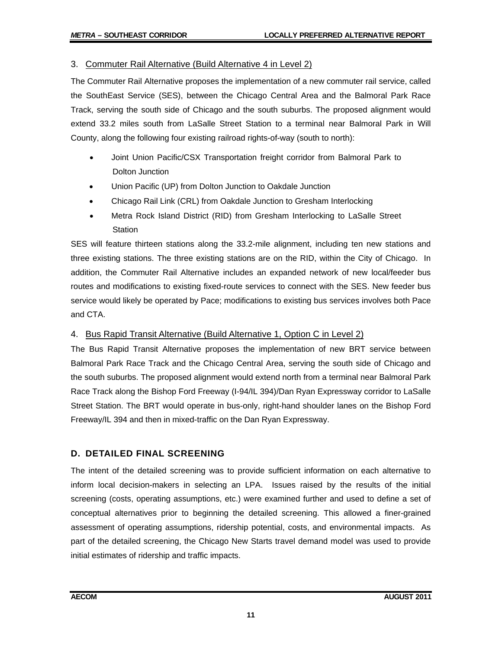## 3. Commuter Rail Alternative (Build Alternative 4 in Level 2)

The Commuter Rail Alternative proposes the implementation of a new commuter rail service, called the SouthEast Service (SES), between the Chicago Central Area and the Balmoral Park Race Track, serving the south side of Chicago and the south suburbs. The proposed alignment would extend 33.2 miles south from LaSalle Street Station to a terminal near Balmoral Park in Will County, along the following four existing railroad rights-of-way (south to north):

- Joint Union Pacific/CSX Transportation freight corridor from Balmoral Park to Dolton Junction
- Union Pacific (UP) from Dolton Junction to Oakdale Junction
- Chicago Rail Link (CRL) from Oakdale Junction to Gresham Interlocking
- Metra Rock Island District (RID) from Gresham Interlocking to LaSalle Street **Station**

SES will feature thirteen stations along the 33.2-mile alignment, including ten new stations and three existing stations. The three existing stations are on the RID, within the City of Chicago. In addition, the Commuter Rail Alternative includes an expanded network of new local/feeder bus routes and modifications to existing fixed-route services to connect with the SES. New feeder bus service would likely be operated by Pace; modifications to existing bus services involves both Pace and CTA.

#### 4. Bus Rapid Transit Alternative (Build Alternative 1, Option C in Level 2)

The Bus Rapid Transit Alternative proposes the implementation of new BRT service between Balmoral Park Race Track and the Chicago Central Area, serving the south side of Chicago and the south suburbs. The proposed alignment would extend north from a terminal near Balmoral Park Race Track along the Bishop Ford Freeway (I-94/IL 394)/Dan Ryan Expressway corridor to LaSalle Street Station. The BRT would operate in bus-only, right-hand shoulder lanes on the Bishop Ford Freeway/IL 394 and then in mixed-traffic on the Dan Ryan Expressway.

# **D. DETAILED FINAL SCREENING**

The intent of the detailed screening was to provide sufficient information on each alternative to inform local decision-makers in selecting an LPA. Issues raised by the results of the initial screening (costs, operating assumptions, etc.) were examined further and used to define a set of conceptual alternatives prior to beginning the detailed screening. This allowed a finer-grained assessment of operating assumptions, ridership potential, costs, and environmental impacts. As part of the detailed screening, the Chicago New Starts travel demand model was used to provide initial estimates of ridership and traffic impacts.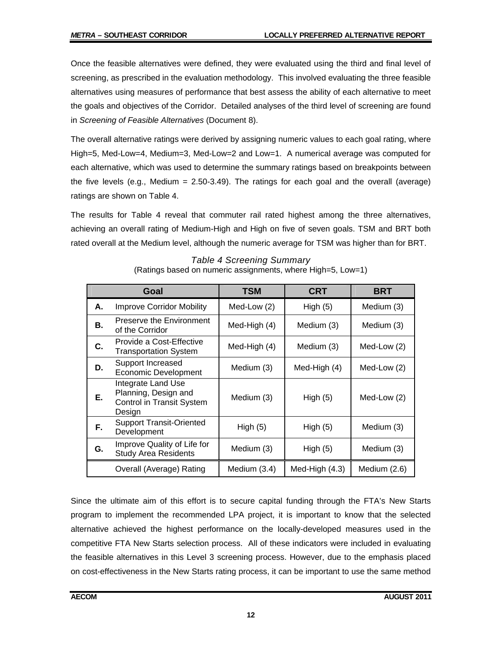Once the feasible alternatives were defined, they were evaluated using the third and final level of screening, as prescribed in the evaluation methodology. This involved evaluating the three feasible alternatives using measures of performance that best assess the ability of each alternative to meet the goals and objectives of the Corridor. Detailed analyses of the third level of screening are found in *Screening of Feasible Alternatives* (Document 8).

The overall alternative ratings were derived by assigning numeric values to each goal rating, where High=5, Med-Low=4, Medium=3, Med-Low=2 and Low=1. A numerical average was computed for each alternative, which was used to determine the summary ratings based on breakpoints between the five levels (e.g., Medium  $= 2.50-3.49$ ). The ratings for each goal and the overall (average) ratings are shown on Table 4.

The results for Table 4 reveal that commuter rail rated highest among the three alternatives, achieving an overall rating of Medium-High and High on five of seven goals. TSM and BRT both rated overall at the Medium level, although the numeric average for TSM was higher than for BRT.

|    | Goal                                                                                     | <b>TSM</b>               | <b>CRT</b>     | BRT          |
|----|------------------------------------------------------------------------------------------|--------------------------|----------------|--------------|
| А. | <b>Improve Corridor Mobility</b>                                                         | Med-Low (2)              | High $(5)$     | Medium (3)   |
| В. | Preserve the Environment<br>of the Corridor                                              | Med-High (4)             | Medium (3)     | Medium (3)   |
| C. | Provide a Cost-Effective<br><b>Transportation System</b>                                 | Med-High (4)             | Medium (3)     | Med-Low (2)  |
| D. | Support Increased<br>Economic Development                                                | Medium (3)               | Med-High (4)   | Med-Low (2)  |
| Е. | Integrate Land Use<br>Planning, Design and<br><b>Control in Transit System</b><br>Design | Medium (3)               | High $(5)$     | Med-Low (2)  |
| F. | <b>Support Transit-Oriented</b><br>Development                                           | High $(5)$               | High(5)        | Medium (3)   |
| G. | Improve Quality of Life for<br><b>Study Area Residents</b>                               | Medium (3)<br>High $(5)$ |                | Medium (3)   |
|    | Overall (Average) Rating                                                                 | Medium (3.4)             | Med-High (4.3) | Medium (2.6) |

*Table 4 Screening Summary*  (Ratings based on numeric assignments, where High=5, Low=1)

Since the ultimate aim of this effort is to secure capital funding through the FTA's New Starts program to implement the recommended LPA project, it is important to know that the selected alternative achieved the highest performance on the locally-developed measures used in the competitive FTA New Starts selection process. All of these indicators were included in evaluating the feasible alternatives in this Level 3 screening process. However, due to the emphasis placed on cost-effectiveness in the New Starts rating process, it can be important to use the same method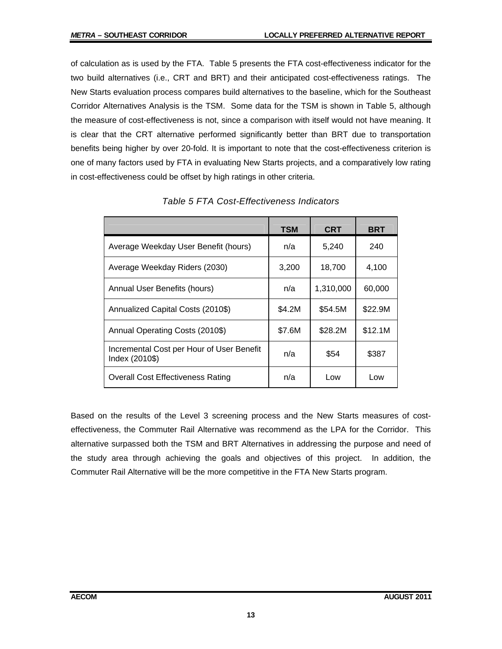of calculation as is used by the FTA. Table 5 presents the FTA cost-effectiveness indicator for the two build alternatives (i.e., CRT and BRT) and their anticipated cost-effectiveness ratings. The New Starts evaluation process compares build alternatives to the baseline, which for the Southeast Corridor Alternatives Analysis is the TSM. Some data for the TSM is shown in Table 5, although the measure of cost-effectiveness is not, since a comparison with itself would not have meaning. It is clear that the CRT alternative performed significantly better than BRT due to transportation benefits being higher by over 20-fold. It is important to note that the cost-effectiveness criterion is one of many factors used by FTA in evaluating New Starts projects, and a comparatively low rating in cost-effectiveness could be offset by high ratings in other criteria.

|                                                             | <b>TSM</b> | <b>CRT</b> | <b>BRT</b> |
|-------------------------------------------------------------|------------|------------|------------|
| Average Weekday User Benefit (hours)                        | n/a        | 5,240      | 240        |
| Average Weekday Riders (2030)                               | 3,200      | 18,700     | 4,100      |
| Annual User Benefits (hours)                                | n/a        | 1,310,000  | 60,000     |
| Annualized Capital Costs (2010\$)                           | \$4.2M     | \$54.5M    | \$22.9M    |
| Annual Operating Costs (2010\$)                             | \$7.6M     | \$28.2M    | \$12.1M    |
| Incremental Cost per Hour of User Benefit<br>Index (2010\$) | n/a        | \$54       | \$387      |
| <b>Overall Cost Effectiveness Rating</b>                    | n/a        | Low        | Low        |

*Table 5 FTA Cost-Effectiveness Indicators* 

Based on the results of the Level 3 screening process and the New Starts measures of costeffectiveness, the Commuter Rail Alternative was recommend as the LPA for the Corridor. This alternative surpassed both the TSM and BRT Alternatives in addressing the purpose and need of the study area through achieving the goals and objectives of this project. In addition, the Commuter Rail Alternative will be the more competitive in the FTA New Starts program.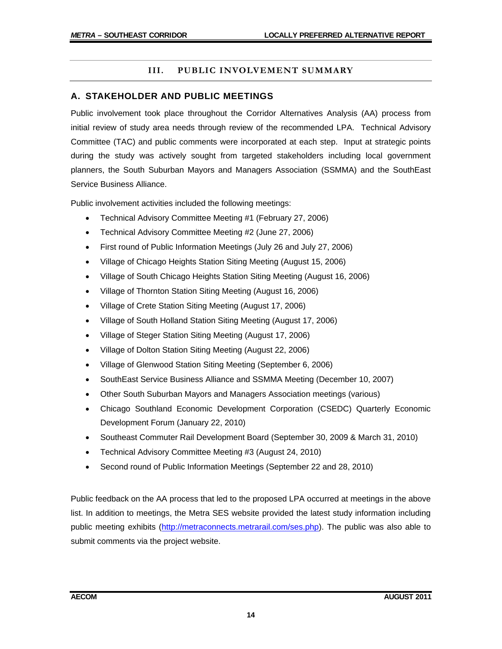## **III. PUBLIC INVOLVEMENT SUMMARY**

#### **A. STAKEHOLDER AND PUBLIC MEETINGS**

Public involvement took place throughout the Corridor Alternatives Analysis (AA) process from initial review of study area needs through review of the recommended LPA. Technical Advisory Committee (TAC) and public comments were incorporated at each step. Input at strategic points during the study was actively sought from targeted stakeholders including local government planners, the South Suburban Mayors and Managers Association (SSMMA) and the SouthEast Service Business Alliance.

Public involvement activities included the following meetings:

- Technical Advisory Committee Meeting #1 (February 27, 2006)
- Technical Advisory Committee Meeting #2 (June 27, 2006)
- First round of Public Information Meetings (July 26 and July 27, 2006)
- Village of Chicago Heights Station Siting Meeting (August 15, 2006)
- Village of South Chicago Heights Station Siting Meeting (August 16, 2006)
- Village of Thornton Station Siting Meeting (August 16, 2006)
- Village of Crete Station Siting Meeting (August 17, 2006)
- Village of South Holland Station Siting Meeting (August 17, 2006)
- Village of Steger Station Siting Meeting (August 17, 2006)
- Village of Dolton Station Siting Meeting (August 22, 2006)
- Village of Glenwood Station Siting Meeting (September 6, 2006)
- SouthEast Service Business Alliance and SSMMA Meeting (December 10, 2007)
- Other South Suburban Mayors and Managers Association meetings (various)
- Chicago Southland Economic Development Corporation (CSEDC) Quarterly Economic Development Forum (January 22, 2010)
- Southeast Commuter Rail Development Board (September 30, 2009 & March 31, 2010)
- Technical Advisory Committee Meeting #3 (August 24, 2010)
- Second round of Public Information Meetings (September 22 and 28, 2010)

Public feedback on the AA process that led to the proposed LPA occurred at meetings in the above list. In addition to meetings, the Metra SES website provided the latest study information including public meeting exhibits (http://metraconnects.metrarail.com/ses.php). The public was also able to submit comments via the project website.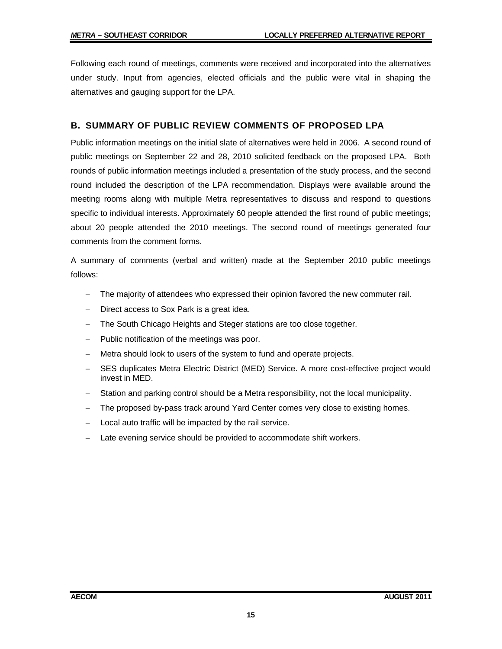Following each round of meetings, comments were received and incorporated into the alternatives under study. Input from agencies, elected officials and the public were vital in shaping the alternatives and gauging support for the LPA.

#### **B. SUMMARY OF PUBLIC REVIEW COMMENTS OF PROPOSED LPA**

Public information meetings on the initial slate of alternatives were held in 2006. A second round of public meetings on September 22 and 28, 2010 solicited feedback on the proposed LPA. Both rounds of public information meetings included a presentation of the study process, and the second round included the description of the LPA recommendation. Displays were available around the meeting rooms along with multiple Metra representatives to discuss and respond to questions specific to individual interests. Approximately 60 people attended the first round of public meetings; about 20 people attended the 2010 meetings. The second round of meetings generated four comments from the comment forms.

A summary of comments (verbal and written) made at the September 2010 public meetings follows:

- The majority of attendees who expressed their opinion favored the new commuter rail.
- Direct access to Sox Park is a great idea.
- The South Chicago Heights and Steger stations are too close together.
- Public notification of the meetings was poor.
- Metra should look to users of the system to fund and operate projects.
- SES duplicates Metra Electric District (MED) Service. A more cost-effective project would invest in MED.
- Station and parking control should be a Metra responsibility, not the local municipality.
- The proposed by-pass track around Yard Center comes very close to existing homes.
- Local auto traffic will be impacted by the rail service.
- Late evening service should be provided to accommodate shift workers.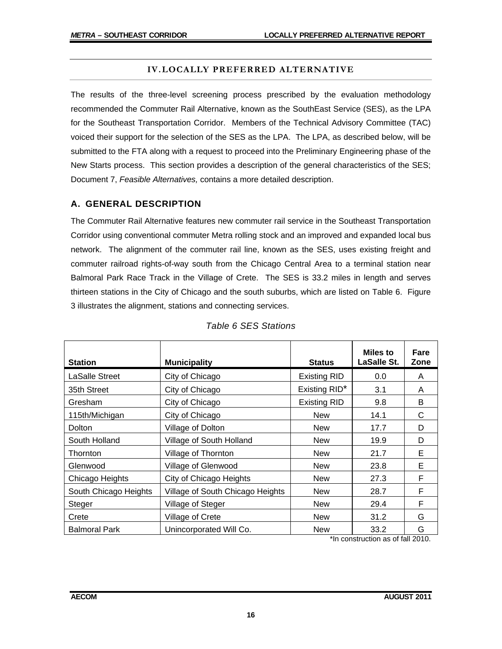#### **IV.LOCALLY PREFERRED ALTERNATIVE**

The results of the three-level screening process prescribed by the evaluation methodology recommended the Commuter Rail Alternative, known as the SouthEast Service (SES), as the LPA for the Southeast Transportation Corridor. Members of the Technical Advisory Committee (TAC) voiced their support for the selection of the SES as the LPA. The LPA, as described below, will be submitted to the FTA along with a request to proceed into the Preliminary Engineering phase of the New Starts process. This section provides a description of the general characteristics of the SES; Document 7, *Feasible Alternatives,* contains a more detailed description.

## **A. GENERAL DESCRIPTION**

The Commuter Rail Alternative features new commuter rail service in the Southeast Transportation Corridor using conventional commuter Metra rolling stock and an improved and expanded local bus network. The alignment of the commuter rail line, known as the SES, uses existing freight and commuter railroad rights-of-way south from the Chicago Central Area to a terminal station near Balmoral Park Race Track in the Village of Crete. The SES is 33.2 miles in length and serves thirteen stations in the City of Chicago and the south suburbs, which are listed on Table 6. Figure 3 illustrates the alignment, stations and connecting services.

| <b>Station</b>        | <b>Municipality</b>              | <b>Status</b>       | Miles to<br><b>LaSalle St.</b> | Fare<br>Zone |
|-----------------------|----------------------------------|---------------------|--------------------------------|--------------|
| <b>LaSalle Street</b> | City of Chicago                  | <b>Existing RID</b> | 0.0                            | A            |
| 35th Street           | City of Chicago                  | Existing RID*       | 3.1                            | A            |
| Gresham               | City of Chicago                  | <b>Existing RID</b> | 9.8                            | B            |
| 115th/Michigan        | City of Chicago                  | <b>New</b>          | 14.1                           | C            |
| Dolton                | Village of Dolton                | <b>New</b>          | 17.7                           | D            |
| South Holland         | Village of South Holland         | <b>New</b>          | 19.9                           | D            |
| Thornton              | Village of Thornton              | <b>New</b>          | 21.7                           | E            |
| Glenwood              | Village of Glenwood              | <b>New</b>          | 23.8                           | Е            |
| Chicago Heights       | City of Chicago Heights          | <b>New</b>          | 27.3                           | F            |
| South Chicago Heights | Village of South Chicago Heights | <b>New</b>          | 28.7                           | F            |
| Steger                | Village of Steger                | <b>New</b>          | 29.4                           | F            |
| Crete                 | Village of Crete                 | <b>New</b>          | 31.2                           | G            |
| <b>Balmoral Park</b>  | Unincorporated Will Co.          | <b>New</b>          | 33.2                           | G            |

# *Table 6 SES Stations*

\*In construction as of fall 2010.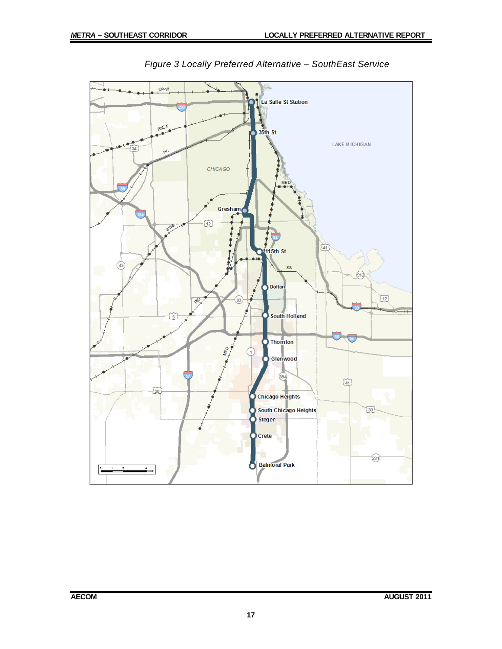

![](_page_20_Figure_3.jpeg)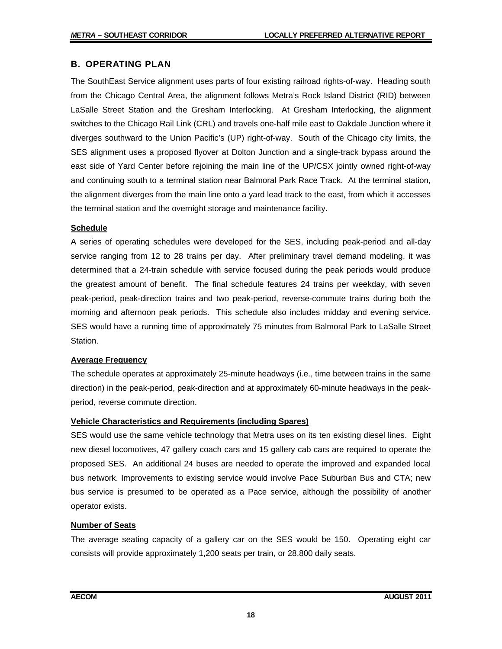## **B. OPERATING PLAN**

The SouthEast Service alignment uses parts of four existing railroad rights-of-way. Heading south from the Chicago Central Area, the alignment follows Metra's Rock Island District (RID) between LaSalle Street Station and the Gresham Interlocking. At Gresham Interlocking, the alignment switches to the Chicago Rail Link (CRL) and travels one-half mile east to Oakdale Junction where it diverges southward to the Union Pacific's (UP) right-of-way. South of the Chicago city limits, the SES alignment uses a proposed flyover at Dolton Junction and a single-track bypass around the east side of Yard Center before rejoining the main line of the UP/CSX jointly owned right-of-way and continuing south to a terminal station near Balmoral Park Race Track. At the terminal station, the alignment diverges from the main line onto a yard lead track to the east, from which it accesses the terminal station and the overnight storage and maintenance facility.

#### **Schedule**

A series of operating schedules were developed for the SES, including peak-period and all-day service ranging from 12 to 28 trains per day. After preliminary travel demand modeling, it was determined that a 24-train schedule with service focused during the peak periods would produce the greatest amount of benefit. The final schedule features 24 trains per weekday, with seven peak-period, peak-direction trains and two peak-period, reverse-commute trains during both the morning and afternoon peak periods. This schedule also includes midday and evening service. SES would have a running time of approximately 75 minutes from Balmoral Park to LaSalle Street Station.

#### **Average Frequency**

The schedule operates at approximately 25-minute headways (i.e., time between trains in the same direction) in the peak-period, peak-direction and at approximately 60-minute headways in the peakperiod, reverse commute direction.

#### **Vehicle Characteristics and Requirements (including Spares)**

SES would use the same vehicle technology that Metra uses on its ten existing diesel lines. Eight new diesel locomotives, 47 gallery coach cars and 15 gallery cab cars are required to operate the proposed SES. An additional 24 buses are needed to operate the improved and expanded local bus network. Improvements to existing service would involve Pace Suburban Bus and CTA; new bus service is presumed to be operated as a Pace service, although the possibility of another operator exists.

#### **Number of Seats**

The average seating capacity of a gallery car on the SES would be 150. Operating eight car consists will provide approximately 1,200 seats per train, or 28,800 daily seats.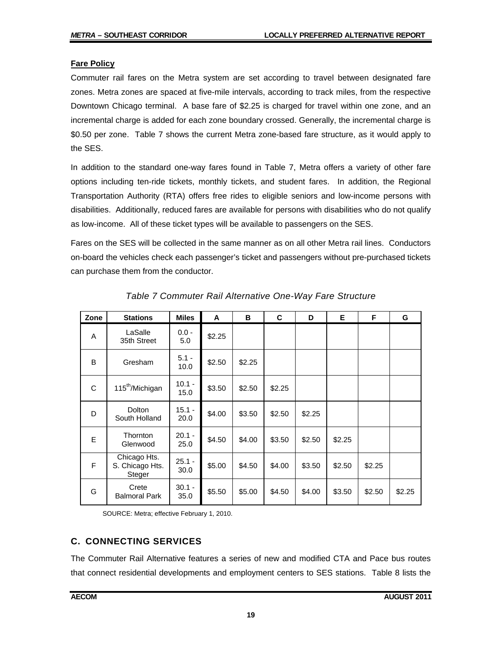### **Fare Policy**

Commuter rail fares on the Metra system are set according to travel between designated fare zones. Metra zones are spaced at five-mile intervals, according to track miles, from the respective Downtown Chicago terminal. A base fare of \$2.25 is charged for travel within one zone, and an incremental charge is added for each zone boundary crossed. Generally, the incremental charge is \$0.50 per zone. Table 7 shows the current Metra zone-based fare structure, as it would apply to the SES.

In addition to the standard one-way fares found in Table 7, Metra offers a variety of other fare options including ten-ride tickets, monthly tickets, and student fares. In addition, the Regional Transportation Authority (RTA) offers free rides to eligible seniors and low-income persons with disabilities. Additionally, reduced fares are available for persons with disabilities who do not qualify as low-income. All of these ticket types will be available to passengers on the SES.

Fares on the SES will be collected in the same manner as on all other Metra rail lines. Conductors on-board the vehicles check each passenger's ticket and passengers without pre-purchased tickets can purchase them from the conductor.

| Zone | <b>Stations</b>                           | <b>Miles</b>     | A      | B      | C      | D      | Е      | F      | G      |
|------|-------------------------------------------|------------------|--------|--------|--------|--------|--------|--------|--------|
| A    | LaSalle<br>35th Street                    | $0.0 -$<br>5.0   | \$2.25 |        |        |        |        |        |        |
| B    | Gresham                                   | $5.1 -$<br>10.0  | \$2.50 | \$2.25 |        |        |        |        |        |
| C    | 115 <sup>th</sup> /Michigan               | $10.1 -$<br>15.0 | \$3.50 | \$2.50 | \$2.25 |        |        |        |        |
| D    | <b>Dolton</b><br>South Holland            | $15.1 -$<br>20.0 | \$4.00 | \$3.50 | \$2.50 | \$2.25 |        |        |        |
| E    | Thornton<br>Glenwood                      | $20.1 -$<br>25.0 | \$4.50 | \$4.00 | \$3.50 | \$2.50 | \$2.25 |        |        |
| F    | Chicago Hts.<br>S. Chicago Hts.<br>Steger | $25.1 -$<br>30.0 | \$5.00 | \$4.50 | \$4.00 | \$3.50 | \$2.50 | \$2.25 |        |
| G    | Crete<br><b>Balmoral Park</b>             | $30.1 -$<br>35.0 | \$5.50 | \$5.00 | \$4.50 | \$4.00 | \$3.50 | \$2.50 | \$2.25 |

*Table 7 Commuter Rail Alternative One-Way Fare Structure* 

SOURCE: Metra; effective February 1, 2010.

# **C. CONNECTING SERVICES**

The Commuter Rail Alternative features a series of new and modified CTA and Pace bus routes that connect residential developments and employment centers to SES stations. Table 8 lists the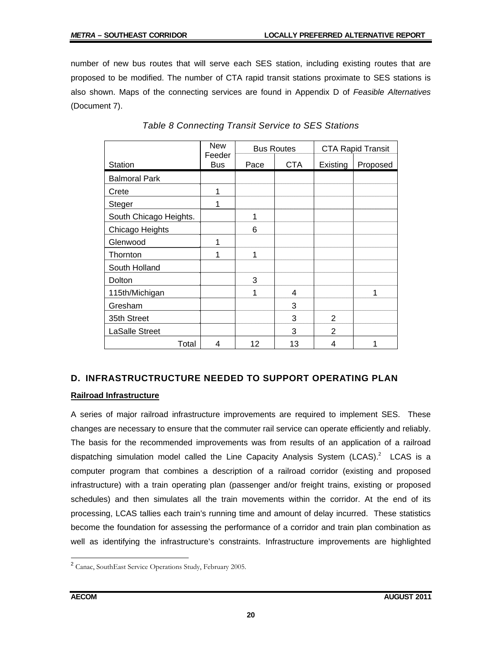number of new bus routes that will serve each SES station, including existing routes that are proposed to be modified. The number of CTA rapid transit stations proximate to SES stations is also shown. Maps of the connecting services are found in Appendix D of *Feasible Alternatives* (Document 7).

|                        | <b>New</b><br>Feeder | <b>Bus Routes</b> |            |                | <b>CTA Rapid Transit</b> |
|------------------------|----------------------|-------------------|------------|----------------|--------------------------|
| <b>Station</b>         | <b>Bus</b>           | Pace              | <b>CTA</b> | Existing       | Proposed                 |
| <b>Balmoral Park</b>   |                      |                   |            |                |                          |
| Crete                  | $\mathbf{1}$         |                   |            |                |                          |
| <b>Steger</b>          | 1                    |                   |            |                |                          |
| South Chicago Heights. |                      | 1                 |            |                |                          |
| Chicago Heights        |                      | 6                 |            |                |                          |
| Glenwood               | 1                    |                   |            |                |                          |
| Thornton               | 1                    | 1                 |            |                |                          |
| South Holland          |                      |                   |            |                |                          |
| Dolton                 |                      | 3                 |            |                |                          |
| 115th/Michigan         |                      | 1                 | 4          |                | 1                        |
| Gresham                |                      |                   | 3          |                |                          |
| 35th Street            |                      |                   | 3          | $\overline{2}$ |                          |
| <b>LaSalle Street</b>  |                      |                   | 3          | 2              |                          |
| Total                  | 4                    | 12                | 13         | 4              |                          |

# *Table 8 Connecting Transit Service to SES Stations*

# **D. INFRASTRUCTRUCTURE NEEDED TO SUPPORT OPERATING PLAN**

#### **Railroad Infrastructure**

A series of major railroad infrastructure improvements are required to implement SES. These changes are necessary to ensure that the commuter rail service can operate efficiently and reliably. The basis for the recommended improvements was from results of an application of a railroad dispatching simulation model called the Line Capacity Analysis System (LCAS).<sup>2</sup> LCAS is a computer program that combines a description of a railroad corridor (existing and proposed infrastructure) with a train operating plan (passenger and/or freight trains, existing or proposed schedules) and then simulates all the train movements within the corridor. At the end of its processing, LCAS tallies each train's running time and amount of delay incurred. These statistics become the foundation for assessing the performance of a corridor and train plan combination as well as identifying the infrastructure's constraints. Infrastructure improvements are highlighted

 2 Canac, SouthEast Service Operations Study, February 2005.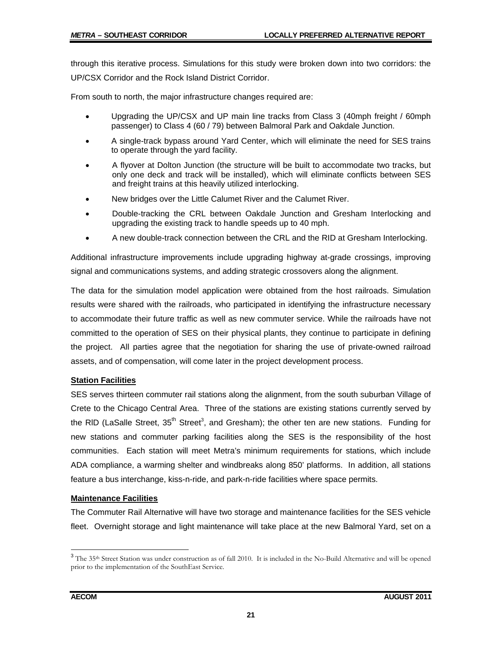through this iterative process. Simulations for this study were broken down into two corridors: the UP/CSX Corridor and the Rock Island District Corridor.

From south to north, the major infrastructure changes required are:

- Upgrading the UP/CSX and UP main line tracks from Class 3 (40mph freight / 60mph passenger) to Class 4 (60 / 79) between Balmoral Park and Oakdale Junction.
- A single-track bypass around Yard Center, which will eliminate the need for SES trains to operate through the yard facility.
- A flyover at Dolton Junction (the structure will be built to accommodate two tracks, but only one deck and track will be installed), which will eliminate conflicts between SES and freight trains at this heavily utilized interlocking.
- New bridges over the Little Calumet River and the Calumet River.
- Double-tracking the CRL between Oakdale Junction and Gresham Interlocking and upgrading the existing track to handle speeds up to 40 mph.
- A new double-track connection between the CRL and the RID at Gresham Interlocking.

Additional infrastructure improvements include upgrading highway at-grade crossings, improving signal and communications systems, and adding strategic crossovers along the alignment.

The data for the simulation model application were obtained from the host railroads. Simulation results were shared with the railroads, who participated in identifying the infrastructure necessary to accommodate their future traffic as well as new commuter service. While the railroads have not committed to the operation of SES on their physical plants, they continue to participate in defining the project. All parties agree that the negotiation for sharing the use of private-owned railroad assets, and of compensation, will come later in the project development process.

#### **Station Facilities**

SES serves thirteen commuter rail stations along the alignment, from the south suburban Village of Crete to the Chicago Central Area. Three of the stations are existing stations currently served by the RID (LaSalle Street, 35<sup>th</sup> Street<sup>3</sup>, and Gresham); the other ten are new stations. Funding for new stations and commuter parking facilities along the SES is the responsibility of the host communities. Each station will meet Metra's minimum requirements for stations, which include ADA compliance, a warming shelter and windbreaks along 850' platforms. In addition, all stations feature a bus interchange, kiss-n-ride, and park-n-ride facilities where space permits.

#### **Maintenance Facilities**

The Commuter Rail Alternative will have two storage and maintenance facilities for the SES vehicle fleet. Overnight storage and light maintenance will take place at the new Balmoral Yard, set on a

 $\overline{a}$ 

<sup>&</sup>lt;sup>3</sup> The 35<sup>th</sup> Street Station was under construction as of fall 2010. It is included in the No-Build Alternative and will be opened prior to the implementation of the SouthEast Service.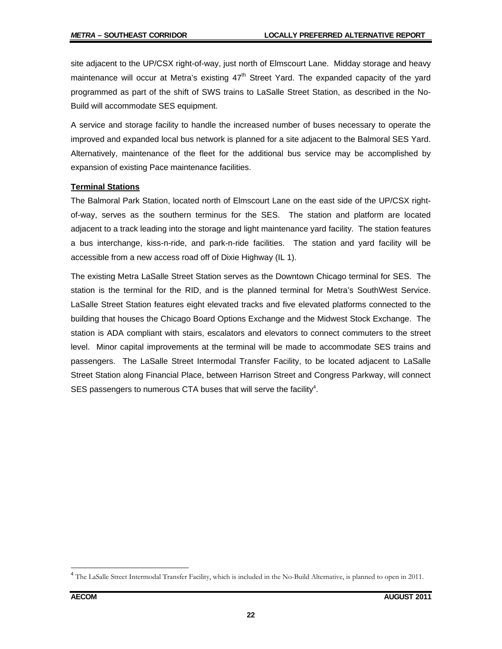site adjacent to the UP/CSX right-of-way, just north of Elmscourt Lane. Midday storage and heavy maintenance will occur at Metra's existing  $47<sup>th</sup>$  Street Yard. The expanded capacity of the yard programmed as part of the shift of SWS trains to LaSalle Street Station, as described in the No-Build will accommodate SES equipment.

A service and storage facility to handle the increased number of buses necessary to operate the improved and expanded local bus network is planned for a site adjacent to the Balmoral SES Yard. Alternatively, maintenance of the fleet for the additional bus service may be accomplished by expansion of existing Pace maintenance facilities.

#### **Terminal Stations**

The Balmoral Park Station, located north of Elmscourt Lane on the east side of the UP/CSX rightof-way, serves as the southern terminus for the SES. The station and platform are located adjacent to a track leading into the storage and light maintenance yard facility. The station features a bus interchange, kiss-n-ride, and park-n-ride facilities. The station and yard facility will be accessible from a new access road off of Dixie Highway (IL 1).

The existing Metra LaSalle Street Station serves as the Downtown Chicago terminal for SES. The station is the terminal for the RID, and is the planned terminal for Metra's SouthWest Service. LaSalle Street Station features eight elevated tracks and five elevated platforms connected to the building that houses the Chicago Board Options Exchange and the Midwest Stock Exchange. The station is ADA compliant with stairs, escalators and elevators to connect commuters to the street level. Minor capital improvements at the terminal will be made to accommodate SES trains and passengers. The LaSalle Street Intermodal Transfer Facility, to be located adjacent to LaSalle Street Station along Financial Place, between Harrison Street and Congress Parkway, will connect SES passengers to numerous CTA buses that will serve the facility<sup>4</sup>.

 $\overline{a}$ 

<sup>&</sup>lt;sup>4</sup> The LaSalle Street Intermodal Transfer Facility, which is included in the No-Build Alternative, is planned to open in 2011.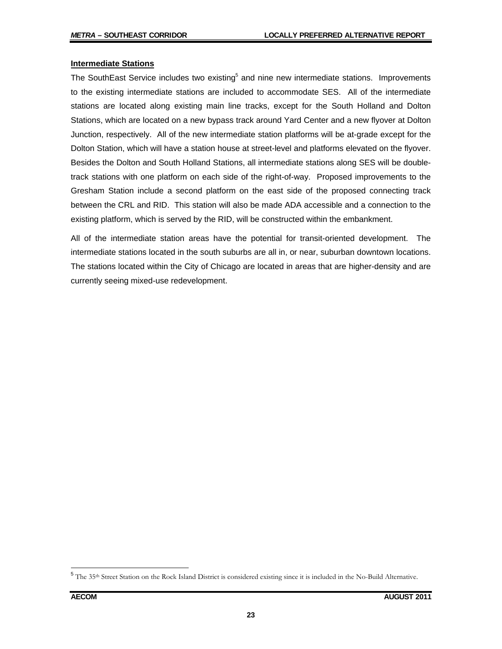#### **Intermediate Stations**

The SouthEast Service includes two existing<sup>5</sup> and nine new intermediate stations. Improvements to the existing intermediate stations are included to accommodate SES. All of the intermediate stations are located along existing main line tracks, except for the South Holland and Dolton Stations, which are located on a new bypass track around Yard Center and a new flyover at Dolton Junction, respectively. All of the new intermediate station platforms will be at-grade except for the Dolton Station, which will have a station house at street-level and platforms elevated on the flyover. Besides the Dolton and South Holland Stations, all intermediate stations along SES will be doubletrack stations with one platform on each side of the right-of-way. Proposed improvements to the Gresham Station include a second platform on the east side of the proposed connecting track between the CRL and RID. This station will also be made ADA accessible and a connection to the existing platform, which is served by the RID, will be constructed within the embankment.

All of the intermediate station areas have the potential for transit-oriented development. The intermediate stations located in the south suburbs are all in, or near, suburban downtown locations. The stations located within the City of Chicago are located in areas that are higher-density and are currently seeing mixed-use redevelopment.

<sup>&</sup>lt;sup>5</sup> The 35<sup>th</sup> Street Station on the Rock Island District is considered existing since it is included in the No-Build Alternative.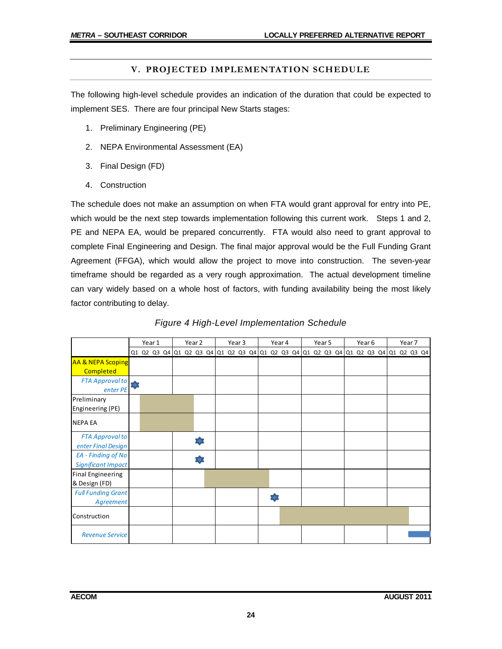#### **V. PROJECTED IMPLEMENTATION SCHEDULE**

The following high-level schedule provides an indication of the duration that could be expected to implement SES. There are four principal New Starts stages:

- 1. Preliminary Engineering (PE)
- 2. NEPA Environmental Assessment (EA)
- 3. Final Design (FD)
- 4. Construction

The schedule does not make an assumption on when FTA would grant approval for entry into PE, which would be the next step towards implementation following this current work. Steps 1 and 2, PE and NEPA EA, would be prepared concurrently. FTA would also need to grant approval to complete Final Engineering and Design. The final major approval would be the Full Funding Grant Agreement (FFGA), which would allow the project to move into construction. The seven-year timeframe should be regarded as a very rough approximation. The actual development timeline can vary widely based on a whole host of factors, with funding availability being the most likely factor contributing to delay.

|                              |  | Year 1 |  | Year 2 |                                                                                                 |  | Year 3 |  | Year 4 |  | Year 5 |  |  | Year 6 |  | Year 7 |  |
|------------------------------|--|--------|--|--------|-------------------------------------------------------------------------------------------------|--|--------|--|--------|--|--------|--|--|--------|--|--------|--|
|                              |  |        |  |        | 01 02 03 04 01 02 03 04 01 02 03 04 01 02 03 04 01 02 03 04 01 02 03 04 01 02 03 04 01 02 03 04 |  |        |  |        |  |        |  |  |        |  |        |  |
| <b>AA &amp; NEPA Scoping</b> |  |        |  |        |                                                                                                 |  |        |  |        |  |        |  |  |        |  |        |  |
| <b>Completed</b>             |  |        |  |        |                                                                                                 |  |        |  |        |  |        |  |  |        |  |        |  |
| FTA Approval to              |  |        |  |        |                                                                                                 |  |        |  |        |  |        |  |  |        |  |        |  |
| enter PE                     |  |        |  |        |                                                                                                 |  |        |  |        |  |        |  |  |        |  |        |  |
| Preliminary                  |  |        |  |        |                                                                                                 |  |        |  |        |  |        |  |  |        |  |        |  |
| Engineering (PE)             |  |        |  |        |                                                                                                 |  |        |  |        |  |        |  |  |        |  |        |  |
| <b>NEPA EA</b>               |  |        |  |        |                                                                                                 |  |        |  |        |  |        |  |  |        |  |        |  |
| <b>FTA Approval to</b>       |  |        |  |        |                                                                                                 |  |        |  |        |  |        |  |  |        |  |        |  |
| enter Final Design           |  |        |  |        |                                                                                                 |  |        |  |        |  |        |  |  |        |  |        |  |
| EA - Finding of No           |  |        |  |        |                                                                                                 |  |        |  |        |  |        |  |  |        |  |        |  |
| <b>Significant Impact</b>    |  |        |  |        |                                                                                                 |  |        |  |        |  |        |  |  |        |  |        |  |
| <b>Final Engineering</b>     |  |        |  |        |                                                                                                 |  |        |  |        |  |        |  |  |        |  |        |  |
| & Design (FD)                |  |        |  |        |                                                                                                 |  |        |  |        |  |        |  |  |        |  |        |  |
| <b>Full Funding Grant</b>    |  |        |  |        |                                                                                                 |  |        |  |        |  |        |  |  |        |  |        |  |
| Agreement                    |  |        |  |        |                                                                                                 |  |        |  |        |  |        |  |  |        |  |        |  |
| Construction                 |  |        |  |        |                                                                                                 |  |        |  |        |  |        |  |  |        |  |        |  |
| <b>Revenue Service</b>       |  |        |  |        |                                                                                                 |  |        |  |        |  |        |  |  |        |  |        |  |

#### *Figure 4 High-Level Implementation Schedule*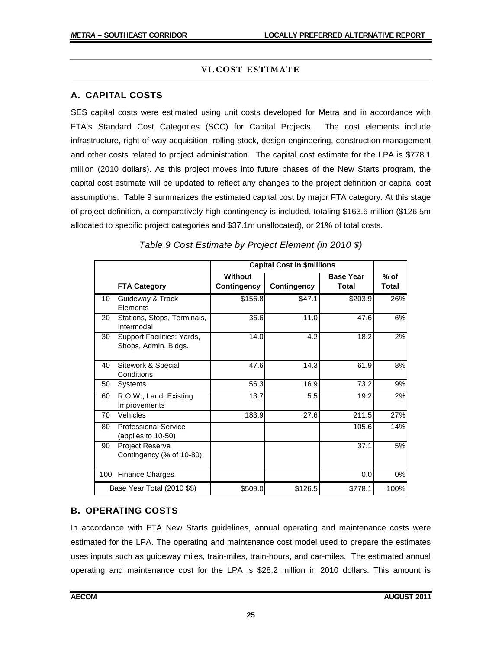#### **VI.COST ESTIMATE**

# **A. CAPITAL COSTS**

SES capital costs were estimated using unit costs developed for Metra and in accordance with FTA's Standard Cost Categories (SCC) for Capital Projects. The cost elements include infrastructure, right-of-way acquisition, rolling stock, design engineering, construction management and other costs related to project administration. The capital cost estimate for the LPA is \$778.1 million (2010 dollars). As this project moves into future phases of the New Starts program, the capital cost estimate will be updated to reflect any changes to the project definition or capital cost assumptions. Table 9 summarizes the estimated capital cost by major FTA category. At this stage of project definition, a comparatively high contingency is included, totaling \$163.6 million (\$126.5m allocated to specific project categories and \$37.1m unallocated), or 21% of total costs.

|     |                                                    | <b>Capital Cost in \$millions</b> |                    |                           |                 |
|-----|----------------------------------------------------|-----------------------------------|--------------------|---------------------------|-----------------|
|     | <b>FTA Category</b>                                | Without<br>Contingency            | <b>Contingency</b> | <b>Base Year</b><br>Total | $%$ of<br>Total |
| 10  | Guideway & Track<br>Elements                       | \$156.8                           | \$47.1             | \$203.9                   | 26%             |
| 20  | Stations, Stops, Terminals,<br>Intermodal          | 36.6                              | 11.0               | 47.6                      | 6%              |
| 30  | Support Facilities: Yards,<br>Shops, Admin. Bldgs. | 14.0                              | 4.2                | 18.2                      | 2%              |
| 40  | Sitework & Special<br>Conditions                   | 47.6                              | 14.3               | 61.9                      | 8%              |
| 50  | Systems                                            | 56.3                              | 16.9               | 73.2                      | 9%              |
| 60  | R.O.W., Land, Existing<br>Improvements             | 13.7                              | 5.5                | 19.2                      | 2%              |
| 70  | Vehicles                                           | 183.9                             | 27.6               | 211.5                     | 27%             |
| 80  | <b>Professional Service</b><br>(applies to 10-50)  |                                   |                    | 105.6                     | 14%             |
| 90  | <b>Project Reserve</b><br>Contingency (% of 10-80) |                                   |                    | 37.1                      | 5%              |
| 100 | <b>Finance Charges</b>                             |                                   |                    | 0.0                       | 0%              |
|     | Base Year Total (2010 \$\$)                        | \$509.0                           | \$126.5            | \$778.1                   | 100%            |

# *Table 9 Cost Estimate by Project Element (in 2010 \$)*

#### **B. OPERATING COSTS**

In accordance with FTA New Starts guidelines, annual operating and maintenance costs were estimated for the LPA. The operating and maintenance cost model used to prepare the estimates uses inputs such as guideway miles, train-miles, train-hours, and car-miles. The estimated annual operating and maintenance cost for the LPA is \$28.2 million in 2010 dollars. This amount is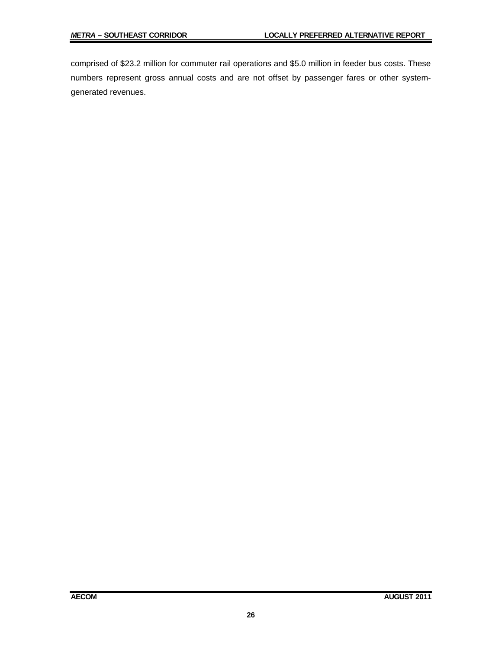comprised of \$23.2 million for commuter rail operations and \$5.0 million in feeder bus costs. These numbers represent gross annual costs and are not offset by passenger fares or other systemgenerated revenues.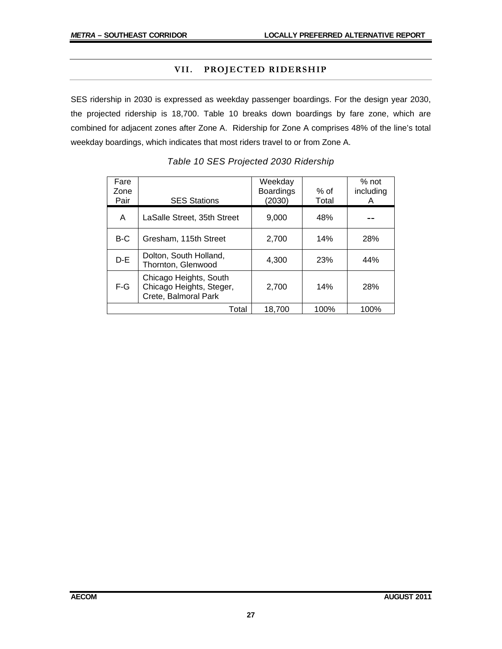#### **VII. PROJECTED RIDERSHIP**

SES ridership in 2030 is expressed as weekday passenger boardings. For the design year 2030, the projected ridership is 18,700. Table 10 breaks down boardings by fare zone, which are combined for adjacent zones after Zone A. Ridership for Zone A comprises 48% of the line's total weekday boardings, which indicates that most riders travel to or from Zone A.

| Fare<br>Zone<br>Pair | <b>SES Stations</b>                                                        | Weekday<br><b>Boardings</b><br>(2030) | % of<br>Total | % not<br>including<br>Α |
|----------------------|----------------------------------------------------------------------------|---------------------------------------|---------------|-------------------------|
| A                    | LaSalle Street, 35th Street                                                | 9,000                                 | 48%           |                         |
| B-C                  | Gresham, 115th Street                                                      | 2,700                                 | 14%           | 28%                     |
| $D-E$                | Dolton, South Holland,<br>Thornton, Glenwood                               | 4,300                                 | 23%           | 44%                     |
| $F-G$                | Chicago Heights, South<br>Chicago Heights, Steger,<br>Crete, Balmoral Park | 2.700                                 | 14%           | 28%                     |
|                      | Total                                                                      | 18,700                                | 100%          | 100%                    |

|  | Table 10 SES Projected 2030 Ridership |  |
|--|---------------------------------------|--|
|  |                                       |  |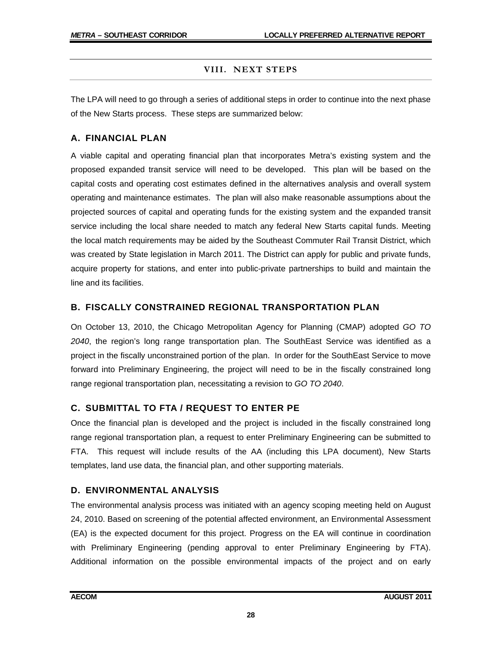#### **VIII. NEXT STEPS**

The LPA will need to go through a series of additional steps in order to continue into the next phase of the New Starts process. These steps are summarized below:

### **A. FINANCIAL PLAN**

A viable capital and operating financial plan that incorporates Metra's existing system and the proposed expanded transit service will need to be developed. This plan will be based on the capital costs and operating cost estimates defined in the alternatives analysis and overall system operating and maintenance estimates. The plan will also make reasonable assumptions about the projected sources of capital and operating funds for the existing system and the expanded transit service including the local share needed to match any federal New Starts capital funds. Meeting the local match requirements may be aided by the Southeast Commuter Rail Transit District, which was created by State legislation in March 2011. The District can apply for public and private funds, acquire property for stations, and enter into public-private partnerships to build and maintain the line and its facilities.

# **B. FISCALLY CONSTRAINED REGIONAL TRANSPORTATION PLAN**

On October 13, 2010, the Chicago Metropolitan Agency for Planning (CMAP) adopted *GO TO 2040*, the region's long range transportation plan. The SouthEast Service was identified as a project in the fiscally unconstrained portion of the plan. In order for the SouthEast Service to move forward into Preliminary Engineering, the project will need to be in the fiscally constrained long range regional transportation plan, necessitating a revision to *GO TO 2040*.

# **C. SUBMITTAL TO FTA / REQUEST TO ENTER PE**

Once the financial plan is developed and the project is included in the fiscally constrained long range regional transportation plan, a request to enter Preliminary Engineering can be submitted to FTA. This request will include results of the AA (including this LPA document), New Starts templates, land use data, the financial plan, and other supporting materials.

#### **D. ENVIRONMENTAL ANALYSIS**

The environmental analysis process was initiated with an agency scoping meeting held on August 24, 2010. Based on screening of the potential affected environment, an Environmental Assessment (EA) is the expected document for this project. Progress on the EA will continue in coordination with Preliminary Engineering (pending approval to enter Preliminary Engineering by FTA). Additional information on the possible environmental impacts of the project and on early